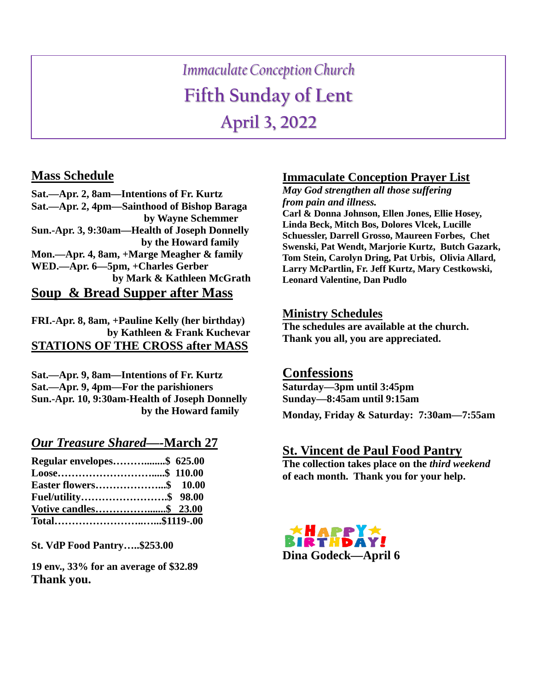# *Immaculate Conception Church* **Fifth Sunday of Lent April 3, 2022**

## **Mass Schedule**

**Sat.—Apr. 2, 8am—Intentions of Fr. Kurtz Sat.—Apr. 2, 4pm—Sainthood of Bishop Baraga by Wayne Schemmer Sun.-Apr. 3, 9:30am—Health of Joseph Donnelly by the Howard family Mon.—Apr. 4, 8am, +Marge Meagher & family WED.—Apr. 6—5pm, +Charles Gerber by Mark & Kathleen McGrath Soup & Bread Supper after Mass**

**FRI.-Apr. 8, 8am, +Pauline Kelly (her birthday) by Kathleen & Frank Kuchevar STATIONS OF THE CROSS after MASS**

**Sat.—Apr. 9, 8am—Intentions of Fr. Kurtz Sat.—Apr. 9, 4pm—For the parishioners Sun.-Apr. 10, 9:30am-Health of Joseph Donnelly by the Howard family** 

## *Our Treasure Shared—-***March 27**

| Regular envelopes\$ 625.00 |  |
|----------------------------|--|
|                            |  |
|                            |  |
| Fuel/utility\$ 98.00       |  |
|                            |  |
| Total\$1119-.00            |  |

**St. VdP Food Pantry…..\$253.00**

**19 env., 33% for an average of \$32.89 Thank you.**

#### **Immaculate Conception Prayer List**

*May God strengthen all those suffering from pain and illness.*

**Carl & Donna Johnson, Ellen Jones, Ellie Hosey, Linda Beck, Mitch Bos, Dolores Vlcek, Lucille Schuessler, Darrell Grosso, Maureen Forbes, Chet Swenski, Pat Wendt, Marjorie Kurtz, Butch Gazark, Tom Stein, Carolyn Dring, Pat Urbis, Olivia Allard, Larry McPartlin, Fr. Jeff Kurtz, Mary Cestkowski, Leonard Valentine, Dan Pudlo**

#### **Ministry Schedules**

**The schedules are available at the church. Thank you all, you are appreciated.**

#### **Confessions**

**Saturday—3pm until 3:45pm Sunday—8:45am until 9:15am**

**Monday, Friday & Saturday: 7:30am—7:55am**

#### **St. Vincent de Paul Food Pantry**

**The collection takes place on the** *third weekend* **of each month. Thank you for your help.**